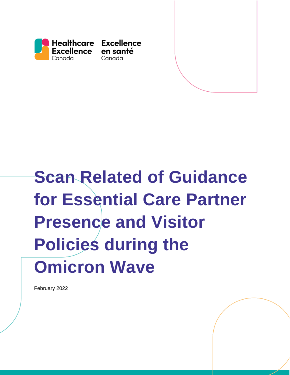<span id="page-0-0"></span>

# **Scan Related of Guidance for Essential Care Partner Presence and Visitor Policies during the Omicron Wave**

<span id="page-0-1"></span>February 2022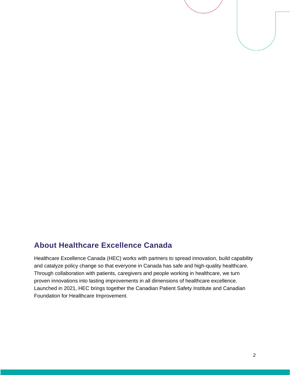

#### <span id="page-1-0"></span>**About Healthcare Excellence Canada**

Healthcare Excellence Canada (HEC) works with partners to spread innovation, build capability and catalyze policy change so that everyone in Canada has safe and high-quality healthcare. Through collaboration with patients, caregivers and people working in healthcare, we turn proven innovations into lasting improvements in all dimensions of healthcare excellence. Launched in 2021, HEC brings together the Canadian Patient Safety Institute and Canadian Foundation for Healthcare Improvement.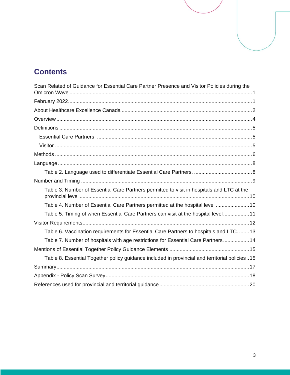# **Contents**

<span id="page-2-0"></span>

| Scan Related of Guidance for Essential Care Partner Presence and Visitor Policies during the  |
|-----------------------------------------------------------------------------------------------|
|                                                                                               |
|                                                                                               |
|                                                                                               |
|                                                                                               |
|                                                                                               |
|                                                                                               |
|                                                                                               |
|                                                                                               |
|                                                                                               |
|                                                                                               |
| Table 3. Number of Essential Care Partners permitted to visit in hospitals and LTC at the     |
| Table 4. Number of Essential Care Partners permitted at the hospital level 10                 |
| Table 5. Timing of when Essential Care Partners can visit at the hospital level11             |
|                                                                                               |
| Table 6. Vaccination requirements for Essential Care Partners to hospitals and LTC. 13        |
| Table 7. Number of hospitals with age restrictions for Essential Care Partners 14             |
|                                                                                               |
| Table 8. Essential Together policy guidance included in provincial and territorial policies15 |
|                                                                                               |
|                                                                                               |
|                                                                                               |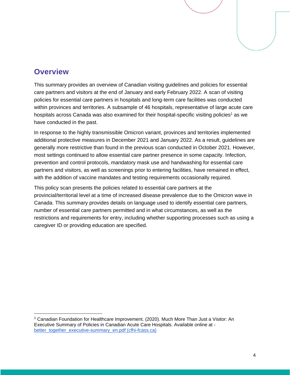#### **Overview**

This summary provides an overview of Canadian visiting guidelines and policies for essential care partners and visitors at the end of January and early February 2022. A scan of visiting policies for essential care partners in hospitals and long-term care facilities was conducted within provinces and territories. A subsample of 46 hospitals, representative of large acute care hospitals across Canada was also examined for their hospital-specific visiting policies<sup>1</sup> as we have conducted in the past.

In response to the highly transmissible Omicron variant, provinces and territories implemented additional protective measures in December 2021 and January 2022. As a result, guidelines are generally more restrictive than found in the previous scan conducted in October 2021. However, most settings continued to allow essential care partner presence in some capacity. Infection, prevention and control protocols, mandatory mask use and handwashing for essential care partners and visitors, as well as screenings prior to entering facilities, have remained in effect, with the addition of vaccine mandates and testing requirements occasionally required.

This policy scan presents the policies related to essential care partners at the provincial/territorial level at a time of increased disease prevalence due to the Omicron wave in Canada. This summary provides details on language used to identify essential care partners, number of essential care partners permitted and in what circumstances, as well as the restrictions and requirements for entry, including whether supporting processes such as using a caregiver ID or providing education are specified.

<sup>1</sup> Canadian Foundation for Healthcare Improvement. (2020). Much More Than Just a Visitor: An Executive Summary of Policies in Canadian Acute Care Hospitals. Available online at [better\\_together\\_executive-summary\\_en.pdf \(cfhi-fcass.ca\)](https://www.cfhi-fcass.ca/docs/default-source/itr/tools-and-resources/better_together_executive-summary_en.pdf)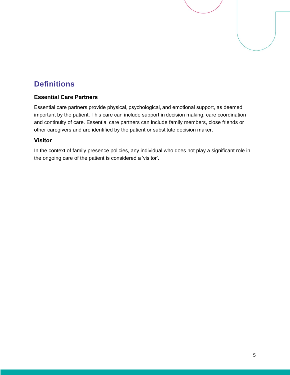# <span id="page-4-0"></span>**Definitions**

#### <span id="page-4-1"></span>**Essential Care Partners**

Essential care partners provide physical, psychological, and emotional support, as deemed important by the patient. This care can include support in decision making, care coordination and continuity of care. Essential care partners can include family members, close friends or other caregivers and are identified by the patient or substitute decision maker. 

#### <span id="page-4-2"></span>**Visitor**

In the context of family presence policies, any individual who does not play a significant role in the ongoing care of the patient is considered a 'visitor'.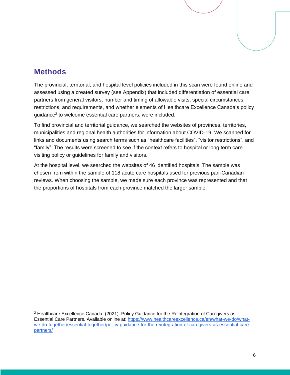#### <span id="page-5-0"></span>**Methods**

The provincial, territorial, and hospital level policies included in this scan were found online and assessed using a created survey (see Appendix) that included differentiation of essential care partners from general visitors, number and timing of allowable visits, special circumstances, restrictions, and requirements, and whether elements of Healthcare Excellence Canada's policy guidance<sup>2</sup> to welcome essential care partners, were included.

To find provincial and territorial guidance, we searched the websites of provinces, territories, municipalities and regional health authorities for information about COVID-19. We scanned for links and documents using search terms such as "healthcare facilities", "visitor restrictions", and "family". The results were screened to see if the context refers to hospital or long term care visiting policy or guidelines for family and visitors.

At the hospital level, we searched the websites of 46 identified hospitals. The sample was chosen from within the sample of 118 acute care hospitals used for previous pan-Canadian reviews. When choosing the sample, we made sure each province was represented and that the proportions of hospitals from each province matched the larger sample.

 $2$  Healthcare Excellence Canada. (2021). Policy Guidance for the Reintegration of Caregivers as Essential Care Partners. Available online at: [https://www.healthcareexcellence.ca/en/what-we-do/what](https://www.healthcareexcellence.ca/en/what-we-do/what-we-do-together/essential-together/policy-guidance-for-the-reintegration-of-caregivers-as-essential-care-partners/)[we-do-together/essential-together/policy-guidance-for-the-reintegration-of-caregivers-as-essential-care](https://www.healthcareexcellence.ca/en/what-we-do/what-we-do-together/essential-together/policy-guidance-for-the-reintegration-of-caregivers-as-essential-care-partners/)[partners/](https://www.healthcareexcellence.ca/en/what-we-do/what-we-do-together/essential-together/policy-guidance-for-the-reintegration-of-caregivers-as-essential-care-partners/)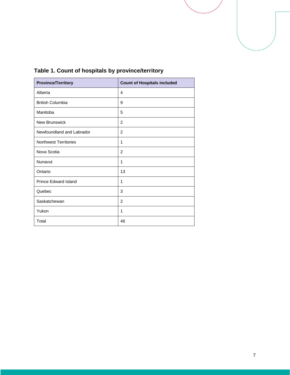

| <b>Province/Territory</b>    | <b>Count of Hospitals included</b> |
|------------------------------|------------------------------------|
| Alberta                      | 4                                  |
| <b>British Columbia</b>      | 9                                  |
| Manitoba                     | 5                                  |
| <b>New Brunswick</b>         | 2                                  |
| Newfoundland and Labrador    | 2                                  |
| <b>Northwest Territories</b> | 1                                  |
| Nova Scotia                  | 2                                  |
| Nunavut                      | 1                                  |
| Ontario                      | 13                                 |
| <b>Prince Edward Island</b>  | 1                                  |
| Quebec                       | 3                                  |
| Saskatchewan                 | 2                                  |
| Yukon                        | 1                                  |
| Total                        | 46                                 |

#### **Table 1. Count of hospitals by province/territory**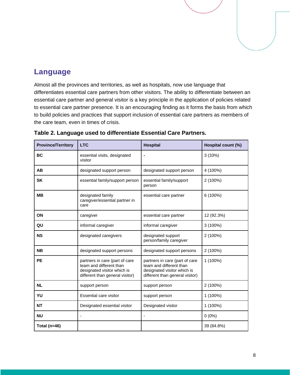#### <span id="page-7-0"></span>**Language**

Almost all the provinces and territories, as well as hospitals, now use language that differentiates essential care partners from other visitors. The ability to differentiate between an essential care partner and general visitor is a key principle in the application of policies related to essential care partner presence. It is an encouraging finding as it forms the basis from which to build policies and practices that support inclusion of essential care partners as members of the care team, even in times of crisis.

| <b>Province/Territory</b> | <b>LTC</b>                                                                                                                  | <b>Hospital</b>                                                                                                             | Hospital count (%) |
|---------------------------|-----------------------------------------------------------------------------------------------------------------------------|-----------------------------------------------------------------------------------------------------------------------------|--------------------|
| <b>BC</b>                 | essential visits, designated<br>visitor                                                                                     | $\blacksquare$                                                                                                              | 3(33%)             |
| AB                        | designated support person                                                                                                   | designated support person                                                                                                   | 4 (100%)           |
| <b>SK</b>                 | essential family/support person                                                                                             | essential family/support<br>person                                                                                          | 2 (100%)           |
| <b>MB</b>                 | designated family<br>caregiver/essential partner in<br>care                                                                 | essential care partner                                                                                                      | 6 (100%)           |
| ON                        | caregiver                                                                                                                   | essential care partner                                                                                                      | 12 (92.3%)         |
| QU                        | informal caregiver                                                                                                          | informal caregiver                                                                                                          | 3 (100%)           |
| <b>NS</b>                 | designated caregivers                                                                                                       | designated support<br>person/family caregiver                                                                               | 2 (100%)           |
| <b>NB</b>                 | designated support persons                                                                                                  | designated support persons                                                                                                  | 2 (100%)           |
| <b>PE</b>                 | partners in care (part of care<br>team and different than<br>designated visitor which is<br>different than general visitor) | partners in care (part of care<br>team and different than<br>designated visitor which is<br>different than general visitor) | 1 (100%)           |
| <b>NL</b>                 | support person                                                                                                              | support person                                                                                                              | 2 (100%)           |
| YU                        | <b>Essential care visitor</b>                                                                                               | support person                                                                                                              | 1 (100%)           |
| <b>NT</b>                 | Designated essential visitor                                                                                                | Designated visitor                                                                                                          | 1 (100%)           |
| <b>NU</b>                 |                                                                                                                             |                                                                                                                             | $0(0\%)$           |
| Total ( $n=46$ )          |                                                                                                                             |                                                                                                                             | 39 (84.8%)         |

<span id="page-7-1"></span>**Table 2. Language used to differentiate Essential Care Partners.**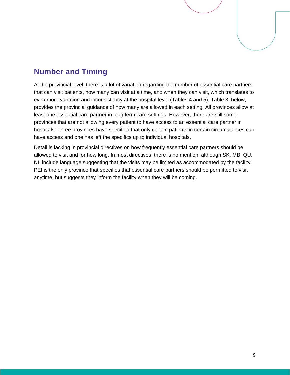## <span id="page-8-0"></span>**Number and Timing**

At the provincial level, there is a lot of variation regarding the number of essential care partners that can visit patients, how many can visit at a time, and when they can visit, which translates to even more variation and inconsistency at the hospital level (Tables 4 and 5). Table 3, below, provides the provincial guidance of how many are allowed in each setting. All provinces allow at least one essential care partner in long term care settings. However, there are still some provinces that are not allowing every patient to have access to an essential care partner in hospitals. Three provinces have specified that only certain patients in certain circumstances can have access and one has left the specifics up to individual hospitals.

Detail is lacking in provincial directives on how frequently essential care partners should be allowed to visit and for how long. In most directives, there is no mention, although SK, MB, QU, NL include language suggesting that the visits may be limited as accommodated by the facility. PEI is the only province that specifies that essential care partners should be permitted to visit anytime, but suggests they inform the facility when they will be coming.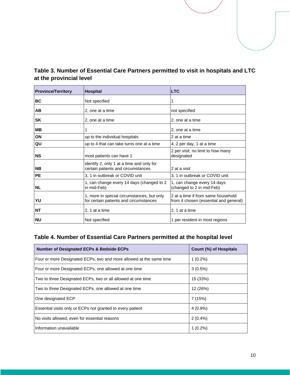<span id="page-9-0"></span>

| Table 3. Number of Essential Care Partners permitted to visit in hospitals and LTC |  |
|------------------------------------------------------------------------------------|--|
| at the provincial level                                                            |  |

| <b>Province/Territory</b> | <b>Hospital</b>                                                                      | <b>LTC</b>                                                                  |
|---------------------------|--------------------------------------------------------------------------------------|-----------------------------------------------------------------------------|
| <b>BC</b>                 | Not specified                                                                        | 1                                                                           |
| AB                        | 2, one at a time                                                                     | not specified                                                               |
| <b>SK</b>                 | 2, one at a time                                                                     | 2, one at a time                                                            |
| <b>MB</b>                 | 1                                                                                    | 2, one at a time                                                            |
| ON                        | up to the individual hospitals                                                       | 2 at a time                                                                 |
| QU                        | up to 4 that can take turns one at a time                                            | 4, 2 per day, 1 at a time                                                   |
| <b>NS</b>                 | most patients can have 1                                                             | 2 per visit, no limit to how many<br>designated                             |
| <b>NB</b>                 | identify 2, only 1 at a time and only for<br>certain patients and circumstances      | 2 at a visit                                                                |
| <b>PE</b>                 | 3, 1 in outbreak or COVID unit                                                       | 3, 1 in outbreak or COVID unit                                              |
| <b>NL</b>                 | 1, can change every 14 days (changed to 2)<br>in mid-Feb)                            | 1, can change every 14 days<br>(changed to 2 in mid-Feb)                    |
| YU                        | 1, more in special circumstances, but only<br>for certain patients and circumstances | 2 at a time if from same household<br>from 4 chosen (essential and general) |
| <b>NT</b>                 | 2, 1 at a time                                                                       | 2, 1 at a time                                                              |
| <b>NU</b>                 | Not specified                                                                        | 1 per resident in most regions                                              |

#### <span id="page-9-1"></span>**Table 4. Number of Essential Care Partners permitted at the hospital level**

| <b>Number of Designated ECPs &amp; Bedside ECPs</b>                 | Count (%) of Hospitals |
|---------------------------------------------------------------------|------------------------|
| Four or more Designated ECPs, two and more allowed at the same time | $1(0.2\%)$             |
| Four or more Designated ECPs, one allowed at one time               | $3(0.5\%)$             |
| Two to three Designated ECPs, two or all allowed at one time        | 15 (33%)               |
| Two to three Designated ECPs, one allowed at one time               | 12 (26%)               |
| One designated ECP                                                  | 7(15%)                 |
| Essential visits only or ECPs not granted to every patient          | $4(0.9\%)$             |
| No visits allowed, even for essential reasons                       | $2(0.4\%)$             |
| Information unavailable                                             | $1(0.2\%)$             |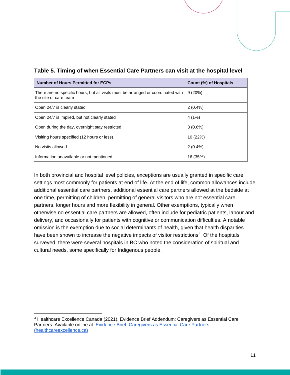| <b>Number of Hours Permitted for ECPs</b>                                                                 | Count (%) of Hospitals |
|-----------------------------------------------------------------------------------------------------------|------------------------|
| There are no specific hours, but all visits must be arranged or coordinated with<br>the site or care team | 9(20%)                 |
| Open 24/7 is clearly stated                                                                               | $2(0.4\%)$             |
| Open 24/7 is implied, but not clearly stated                                                              | 4(1%)                  |
| Open during the day, overnight stay restricted                                                            | $3(0.6\%)$             |
| Visiting hours specified (12 hours or less)                                                               | 10 (22%)               |
| No visits allowed                                                                                         | $2(0.4\%)$             |
| Information unavailable or not mentioned                                                                  | 16 (35%)               |

#### <span id="page-10-0"></span>**Table 5. Timing of when Essential Care Partners can visit at the hospital level**

In both provincial and hospital level policies, exceptions are usually granted in specific care settings most commonly for patients at end of life. At the end of life, common allowances include additional essential care partners, additional essential care partners allowed at the bedside at one time, permitting of children, permitting of general visitors who are not essential care partners, longer hours and more flexibility in general. Other exemptions, typically when otherwise no essential care partners are allowed, often include for pediatric patients, labour and delivery, and occasionally for patients with cognitive or communication difficulties. A notable omission is the exemption due to social determinants of health, given that health disparities have been shown to increase the negative impacts of visitor restrictions<sup>3</sup>. Of the hospitals surveyed, there were several hospitals in BC who noted the consideration of spiritual and cultural needs, some specifically for Indigenous people.

<span id="page-10-1"></span><sup>3</sup> Healthcare Excellence Canada (2021). Evidence Brief Addendum: Caregivers as Essential Care Partners. Available online at: [Evidence Brief: Caregivers as Essential Care Partners](https://www.healthcareexcellence.ca/en/what-we-do/what-we-do-together/essential-together/evidence-brief-caregivers-as-essential-care-partners/)  [\(healthcareexcellence.ca\)](https://www.healthcareexcellence.ca/en/what-we-do/what-we-do-together/essential-together/evidence-brief-caregivers-as-essential-care-partners/)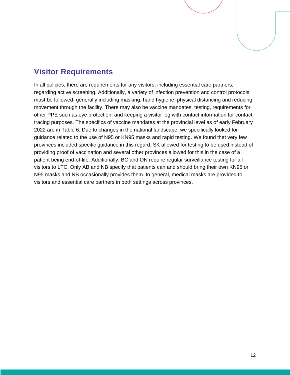## **Visitor Requirements**

In all policies, there are requirements for any visitors, including essential care partners, regarding active screening. Additionally, a variety of infection prevention and control protocols must be followed, generally including masking, hand hygiene, physical distancing and reducing movement through the facility. There may also be vaccine mandates, testing, requirements for other PPE such as eye protection, and keeping a visitor log with contact information for contact tracing purposes. The specifics of vaccine mandates at the provincial level as of early February 2022 are in Table 6. Due to changes in the national landscape, we specifically looked for guidance related to the use of N95 or KN95 masks and rapid testing. We found that very few provinces included specific guidance in this regard. SK allowed for testing to be used instead of providing proof of vaccination and several other provinces allowed for this in the case of a patient being end-of-life. Additionally, BC and ON require regular surveillance testing for all visitors to LTC. Only AB and NB specify that patients can and should bring their own KN95 or N95 masks and NB occasionally provides them. In general, medical masks are provided to visitors and essential care partners in both settings across provinces.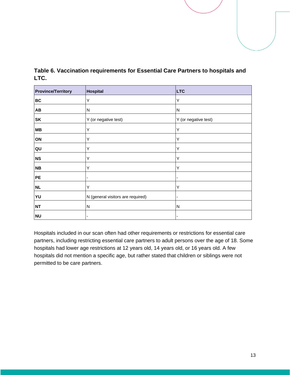| <b>Province/Territory</b> | <b>Hospital</b>                   | <b>LTC</b>              |
|---------------------------|-----------------------------------|-------------------------|
| <b>BC</b>                 | Y                                 | Y                       |
| <b>AB</b>                 | N                                 | $\overline{\mathsf{N}}$ |
| <b>SK</b>                 | Y (or negative test)              | Y (or negative test)    |
| <b>MB</b>                 | Υ                                 | Y                       |
| ON                        | Y                                 | Y                       |
| QU                        | Y                                 | Y                       |
| <b>NS</b>                 | Υ                                 | Υ                       |
| <b>NB</b>                 | Υ                                 | Υ                       |
| PE                        |                                   |                         |
| NL                        | Y                                 | Y                       |
| YU                        | N (general visitors are required) |                         |
| <b>NT</b>                 | N                                 | N                       |
| <b>NU</b>                 |                                   |                         |

<span id="page-12-0"></span>**Table 6. Vaccination requirements for Essential Care Partners to hospitals and LTC.**

Hospitals included in our scan often had other requirements or restrictions for essential care partners, including restricting essential care partners to adult persons over the age of 18. Some hospitals had lower age restrictions at 12 years old, 14 years old, or 16 years old. A few hospitals did not mention a specific age, but rather stated that children or siblings were not permitted to be care partners.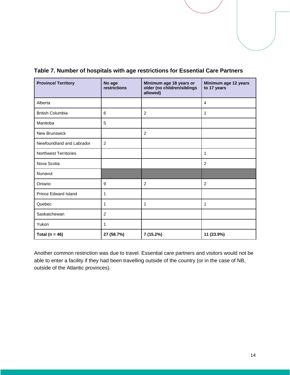| <b>Province/ Territory</b>   | No age<br>restrictions | Minimum age 18 years or<br>older (no children/siblings<br>allowed) | Minimum age 12 years<br>to 17 years |
|------------------------------|------------------------|--------------------------------------------------------------------|-------------------------------------|
| Alberta                      |                        |                                                                    | $\overline{4}$                      |
| <b>British Columbia</b>      | 6                      | $\overline{2}$                                                     | 1                                   |
| Manitoba                     | 5                      |                                                                    |                                     |
| New Brunswick                |                        | $\overline{2}$                                                     |                                     |
| Newfoundland and Labrador    | 2                      |                                                                    |                                     |
| <b>Northwest Territories</b> |                        |                                                                    | 1                                   |
| Nova Scotia                  |                        |                                                                    | $\overline{2}$                      |
| Nunavut                      |                        |                                                                    |                                     |
| Ontario                      | 9                      | 2                                                                  | 2                                   |
| <b>Prince Edward Island</b>  | 1                      |                                                                    |                                     |
| Quebec                       | 1                      | 1                                                                  | 1                                   |
| Saskatchewan                 | $\overline{2}$         |                                                                    |                                     |
| Yukon                        | 1                      |                                                                    |                                     |
| Total ( $n = 46$ )           | 27 (58.7%)             | 7 (15.2%)                                                          | 11 (23.9%)                          |

<span id="page-13-0"></span>**Table 7. Number of hospitals with age restrictions for Essential Care Partners**

Another common restriction was due to travel. Essential care partners and visitors would not be able to enter a facility if they had been travelling outside of the country (or in the case of NB, outside of the Atlantic provinces).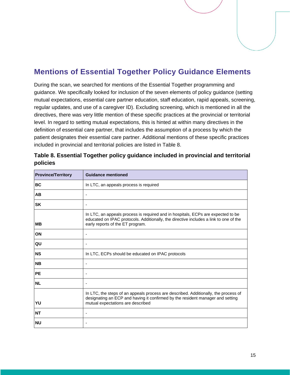## <span id="page-14-0"></span>**Mentions of Essential Together Policy Guidance Elements**

During the scan, we searched for mentions of the Essential Together programming and guidance. We specifically looked for inclusion of the seven elements of policy guidance (setting mutual expectations, essential care partner education, staff education, rapid appeals, screening, regular updates, and use of a caregiver ID). Excluding screening, which is mentioned in all the directives, there was very little mention of these specific practices at the provincial or territorial level. In regard to setting mutual expectations, this is hinted at within many directives in the definition of essential care partner, that includes the assumption of a process by which the patient designates their essential care partner. Additional mentions of these specific practices included in provincial and territorial policies are listed in Table 8.

| <b>Province/Territory</b> | <b>Guidance mentioned</b>                                                                                                                                                                                     |
|---------------------------|---------------------------------------------------------------------------------------------------------------------------------------------------------------------------------------------------------------|
| <b>BC</b>                 | In LTC, an appeals process is required                                                                                                                                                                        |
| AВ                        | ٠                                                                                                                                                                                                             |
| <b>SK</b>                 | $\overline{\phantom{a}}$                                                                                                                                                                                      |
| <b>MB</b>                 | In LTC, an appeals process is required and in hospitals, ECPs are expected to be<br>educated on IPAC protocols. Additionally, the directive includes a link to one of the<br>early reports of the ET program. |
| <b>ON</b>                 | $\overline{\phantom{a}}$                                                                                                                                                                                      |
| QU                        | $\blacksquare$                                                                                                                                                                                                |
| <b>NS</b>                 | In LTC, ECPs should be educated on IPAC protocols                                                                                                                                                             |
| <b>NB</b>                 | $\overline{\phantom{a}}$                                                                                                                                                                                      |
| <b>PE</b>                 | ٠                                                                                                                                                                                                             |
| <b>NL</b>                 | ۰                                                                                                                                                                                                             |
| YU                        | In LTC, the steps of an appeals process are described. Additionally, the process of<br>designating an ECP and having it confirmed by the resident manager and setting<br>mutual expectations are described    |
| <b>NT</b>                 | ٠                                                                                                                                                                                                             |
| <b>NU</b>                 | ۰                                                                                                                                                                                                             |

#### <span id="page-14-1"></span>**Table 8. Essential Together policy guidance included in provincial and territorial policies**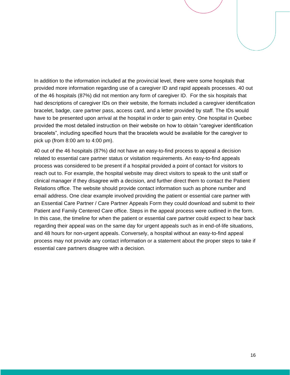In addition to the information included at the provincial level, there were some hospitals that provided more information regarding use of a caregiver ID and rapid appeals processes. 40 out of the 46 hospitals (87%) did not mention any form of caregiver ID. For the six hospitals that had descriptions of caregiver IDs on their website, the formats included a caregiver identification bracelet, badge, care partner pass, access card, and a letter provided by staff. The IDs would have to be presented upon arrival at the hospital in order to gain entry. One hospital in Quebec provided the most detailed instruction on their website on how to obtain "caregiver identification bracelets", including specified hours that the bracelets would be available for the caregiver to pick up (from 8:00 am to 4:00 pm).

<span id="page-15-0"></span>40 out of the 46 hospitals (87%) did not have an easy-to-find process to appeal a decision related to essential care partner status or visitation requirements. An easy-to-find appeals process was considered to be present if a hospital provided a point of contact for visitors to reach out to. For example, the hospital website may direct visitors to speak to the unit staff or clinical manager if they disagree with a decision, and further direct them to contact the Patient Relations office. The website should provide contact information such as phone number and email address. One clear example involved providing the patient or essential care partner with an Essential Care Partner / Care Partner Appeals Form they could download and submit to their Patient and Family Centered Care office. Steps in the appeal process were outlined in the form. In this case, the timeline for when the patient or essential care partner could expect to hear back regarding their appeal was on the same day for urgent appeals such as in end-of-life situations, and 48 hours for non-urgent appeals. Conversely, a hospital without an easy-to-find appeal process may not provide any contact information or a statement about the proper steps to take if essential care partners disagree with a decision.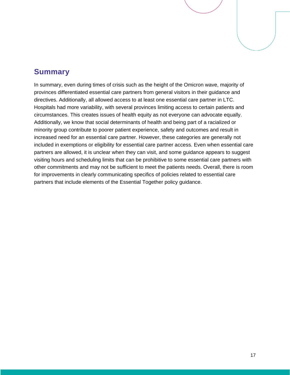#### **Summary**

<span id="page-16-0"></span>In summary, even during times of crisis such as the height of the Omicron wave, majority of provinces differentiated essential care partners from general visitors in their guidance and directives. Additionally, all allowed access to at least one essential care partner in LTC. Hospitals had more variability, with several provinces limiting access to certain patients and circumstances. This creates issues of health equity as not everyone can advocate equally. Additionally, we know that social determinants of health and being part of a racialized or minority group contribute to poorer patient experience, safety and outcomes and result in increased need for an essential care partner. However, these categories are generally not included in exemptions or eligibility for essential care partner access. Even when essential care partners are allowed, it is unclear when they can visit, and some guidance appears to suggest visiting hours and scheduling limits that can be prohibitive to some essential care partners with other commitments and may not be sufficient to meet the patients needs. Overall, there is room for improvements in clearly communicating specifics of policies related to essential care partners that include elements of the Essential Together policy guidance.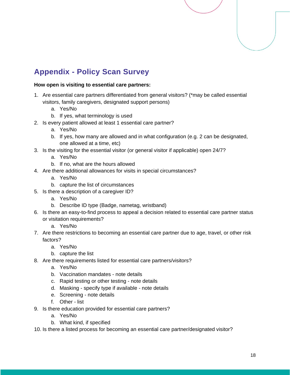# **Appendix - Policy Scan Survey**

#### **How open is visiting to essential care partners:**

- 1. Are essential care partners differentiated from general visitors? (\*may be called essential visitors, family caregivers, designated support persons)
	- a. Yes/No
	- b. If yes, what terminology is used
- 2. Is every patient allowed at least 1 essential care partner?
	- a. Yes/No
	- b. If yes, how many are allowed and in what configuration (e.g. 2 can be designated, one allowed at a time, etc)
- 3. Is the visiting for the essential visitor (or general visitor if applicable) open 24/7?
	- a. Yes/No
	- b. If no, what are the hours allowed
- 4. Are there additional allowances for visits in special circumstances?
	- a. Yes/No
	- b. capture the list of circumstances
- 5. Is there a description of a caregiver ID?
	- a. Yes/No
	- b. Describe ID type (Badge, nametag, wristband)
- 6. Is there an easy-to-find process to appeal a decision related to essential care partner status or visitation requirements?
	- a. Yes/No
- 7. Are there restrictions to becoming an essential care partner due to age, travel, or other risk factors?
	- a. Yes/No
	- b. capture the list
- 8. Are there requirements listed for essential care partners/visitors?
	- a. Yes/No
	- b. Vaccination mandates note details
	- c. Rapid testing or other testing note details
	- d. Masking specify type if available note details
	- e. Screening note details
	- f. Other list
- 9. Is there education provided for essential care partners?
	- a. Yes/No
	- b. What kind, if specified
- 10. Is there a listed process for becoming an essential care partner/designated visitor?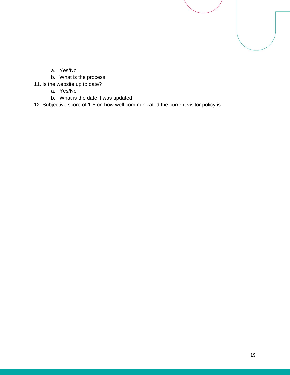- a. Yes/No
- b. What is the process
- 11. Is the website up to date?
	- a. Yes/No
	- b. What is the date it was updated

12. Subjective score of 1-5 on how well communicated the current visitor policy is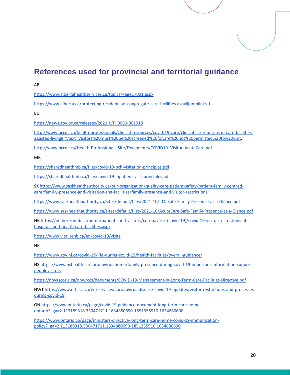# <span id="page-19-0"></span>**References used for provincial and territorial guidance**

A[B](https://www.albertahealthservices.ca/topics/Page17001.aspx)

<https://www.albertahealthservices.ca/topics/Page17001.aspx>

<https://www.alberta.ca/protecting-residents-at-congregate-care-facilities.aspx#jumplinks-1>

B[C](https://news.gov.bc.ca/releases/2021HLTH0060-001918)

<https://news.gov.bc.ca/releases/2021HLTH0060-001918>

[http://www.bccdc.ca/health-professionals/clinical-resources/covid-19-care/clinical-care/long-term-care-facilities](http://www.bccdc.ca/health-professionals/clinical-resources/covid-19-care/clinical-care/long-term-care-facilities-assisted-living#:~:text=Visitors%20must%20be%20screened%20for,are%20not%20permitted%20to%20visit)[assisted-living#:~:text=Visitors%20must%20be%20screened%20for,are%20not%20permitted%20to%20visit.](http://www.bccdc.ca/health-professionals/clinical-resources/covid-19-care/clinical-care/long-term-care-facilities-assisted-living#:~:text=Visitors%20must%20be%20screened%20for,are%20not%20permitted%20to%20visit)

[http://www.bccdc.ca/Health-Professionals-Site/Documents/COVID19\\_VisitorsAcuteCare.pdf](http://www.bccdc.ca/Health-Professionals-Site/Documents/COVID19_VisitorsAcuteCare.pdf)

M[B](https://sharedhealthmb.ca/files/covid-19-pch-visitation-principles.pdf)

<https://sharedhealthmb.ca/files/covid-19-pch-visitation-principles.pdf>

<https://sharedhealthmb.ca/files/covid-19-inpatient-visit-principles.pdf>

SK [https://www.saskhealthauthority.ca/our-organization/quality-care-patient-safety/patient-family-centred](https://www.saskhealthauthority.ca/our-organization/quality-care-patient-safety/patient-family-centred-care/famil-y-presence-and-visitation-sha-facilities/family-presence-and-visitor-restrictions)[care/famil-y-presence-and-visitation-sha-facilities/family-presence-and-visitor-restrictions](https://www.saskhealthauthority.ca/our-organization/quality-care-patient-safety/patient-family-centred-care/famil-y-presence-and-visitation-sha-facilities/family-presence-and-visitor-restrictions)

<https://www.saskhealthauthority.ca/sites/default/files/2021-10/LTC-Safe-Family-Presence-at-a-Glance.pdf>

<https://www.saskhealthauthority.ca/sites/default/files/2021-10/AcuteCare-Safe-Family-Presence-at-a-Glance.pdf>

N[B](https://en.horizonnb.ca/home/patients-and-visitors/coronavirus-(covid-19)/covid-19-visitor-restrictions-at-hospitals-and-health-care-facilities.aspx) [https://en.horizonnb.ca/home/patients-and-visitors/coronavirus-\(covid-19\)/covid-19-visitor-restrictions-at](https://en.horizonnb.ca/home/patients-and-visitors/coronavirus-(covid-19)/covid-19-visitor-restrictions-at-hospitals-and-health-care-facilities.aspx)[hospitals-and-health-care-facilities.aspx](https://en.horizonnb.ca/home/patients-and-visitors/coronavirus-(covid-19)/covid-19-visitor-restrictions-at-hospitals-and-health-care-facilities.aspx)

<https://www.vitalitenb.ca/en/covid-19/visits>

NF[L](https://www.gov.nl.ca/covid-19/life-during-covid-19/health-facilities/overall-guidance/)

<https://www.gov.nl.ca/covid-19/life-during-covid-19/health-facilities/overall-guidance/>

NS [https://www.nshealth.ca/coronavirus-home/family-presence-during-covid-19-important-information-support](https://www.nshealth.ca/coronavirus-home/family-presence-during-covid-19-important-information-support-peoplevisitors)[peoplevisitors](https://www.nshealth.ca/coronavirus-home/family-presence-during-covid-19-important-information-support-peoplevisitors)

<https://novascotia.ca/dhw/ccs/documents/COVID-19-Management-in-Long-Term-Care-Facilities-Directive.pdf>

NWT [https://www.nthssa.ca/en/services/coronavirus-disease-covid-19-updates/visitor-restrictions-and-processes](https://www.nthssa.ca/en/services/coronavirus-disease-covid-19-updates/visitor-restrictions-and-processes-during-covid-19)[during-covid-19](https://www.nthssa.ca/en/services/coronavirus-disease-covid-19-updates/visitor-restrictions-and-processes-during-covid-19)

ON [https://www.ontario.ca/page/covid-19-guidance-document-long-term-care-homes](https://www.ontario.ca/page/covid-19-guidance-document-long-term-care-homes-ontario?_ga=2.113189318.330471711.1634880690-1851355910.1634880690)[ontario?\\_ga=2.113189318.330471711.1634880690-1851355910.1634880690](https://www.ontario.ca/page/covid-19-guidance-document-long-term-care-homes-ontario?_ga=2.113189318.330471711.1634880690-1851355910.1634880690)

[https://www.ontario.ca/page/ministers-directive-long-term-care-home-covid-19-immunization](https://www.ontario.ca/page/ministers-directive-long-term-care-home-covid-19-immunization-policy?_ga=2.113189318.330471711.1634880690-1851355910.1634880690)[policy?\\_ga=2.113189318.330471711.1634880690-1851355910.1634880690](https://www.ontario.ca/page/ministers-directive-long-term-care-home-covid-19-immunization-policy?_ga=2.113189318.330471711.1634880690-1851355910.1634880690)